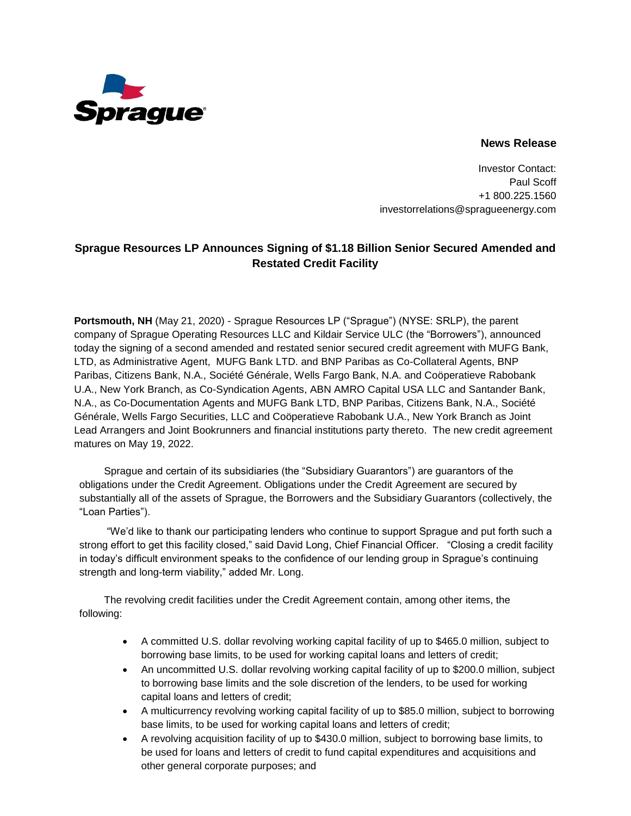

## **News Release**

Investor Contact: Paul Scoff +1 800.225.1560 investorrelations@spragueenergy.com

## **Sprague Resources LP Announces Signing of \$1.18 Billion Senior Secured Amended and Restated Credit Facility**

**Portsmouth, NH** (May 21, 2020) - Sprague Resources LP ("Sprague") (NYSE: SRLP), the parent company of Sprague Operating Resources LLC and Kildair Service ULC (the "Borrowers"), announced today the signing of a second amended and restated senior secured credit agreement with MUFG Bank, LTD, as Administrative Agent, MUFG Bank LTD. and BNP Paribas as Co-Collateral Agents, BNP Paribas, Citizens Bank, N.A., Société Générale, Wells Fargo Bank, N.A. and Coöperatieve Rabobank U.A., New York Branch, as Co-Syndication Agents, ABN AMRO Capital USA LLC and Santander Bank, N.A., as Co-Documentation Agents and MUFG Bank LTD, BNP Paribas, Citizens Bank, N.A., Société Générale, Wells Fargo Securities, LLC and Coöperatieve Rabobank U.A., New York Branch as Joint Lead Arrangers and Joint Bookrunners and financial institutions party thereto. The new credit agreement matures on May 19, 2022.

Sprague and certain of its subsidiaries (the "Subsidiary Guarantors") are guarantors of the obligations under the Credit Agreement. Obligations under the Credit Agreement are secured by substantially all of the assets of Sprague, the Borrowers and the Subsidiary Guarantors (collectively, the "Loan Parties").

"We'd like to thank our participating lenders who continue to support Sprague and put forth such a strong effort to get this facility closed," said David Long, Chief Financial Officer. "Closing a credit facility in today's difficult environment speaks to the confidence of our lending group in Sprague's continuing strength and long-term viability," added Mr. Long.

The revolving credit facilities under the Credit Agreement contain, among other items, the following:

- A committed U.S. dollar revolving working capital facility of up to \$465.0 million, subject to borrowing base limits, to be used for working capital loans and letters of credit;
- An uncommitted U.S. dollar revolving working capital facility of up to \$200.0 million, subject to borrowing base limits and the sole discretion of the lenders, to be used for working capital loans and letters of credit;
- A multicurrency revolving working capital facility of up to \$85.0 million, subject to borrowing base limits, to be used for working capital loans and letters of credit;
- A revolving acquisition facility of up to \$430.0 million, subject to borrowing base limits, to be used for loans and letters of credit to fund capital expenditures and acquisitions and other general corporate purposes; and